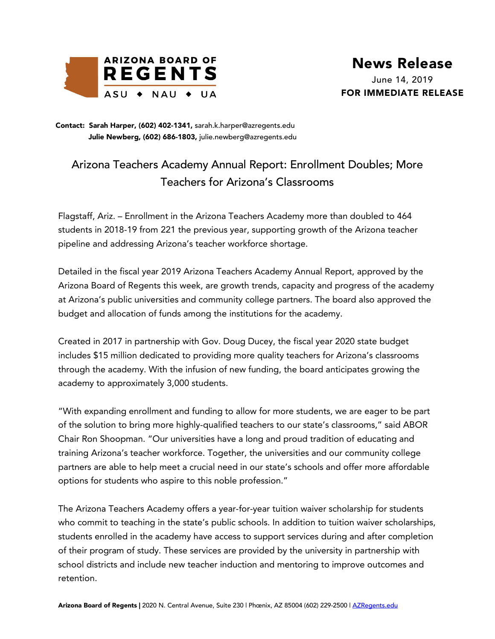

**Julie Newberg, (602) 686-1803,** julie.newberg@azregents.edu Contact: Sarah Harper, (602) 402-1341, sarah.k.harper@azregents.edu

## Arizona Teachers Academy Annual Report: Enrollment Doubles; More Teachers for Arizona's Classrooms

Flagstaff, Ariz. – Enrollment in the Arizona Teachers Academy more than doubled to 464 students in 2018-19 from 221 the previous year, supporting growth of the Arizona teacher pipeline and addressing Arizona's teacher workforce shortage.

Detailed in the fiscal year 2019 Arizona Teachers Academy Annual Report, approved by the Arizona Board of Regents this week, are growth trends, capacity and progress of the academy at Arizona's public universities and community college partners. The board also approved the budget and allocation of funds among the institutions for the academy.

Created in 2017 in partnership with Gov. Doug Ducey, the fiscal year 2020 state budget includes \$15 million dedicated to providing more quality teachers for Arizona's classrooms through the academy. With the infusion of new funding, the board anticipates growing the academy to approximately 3,000 students.

"With expanding enrollment and funding to allow for more students, we are eager to be part of the solution to bring more highly-qualified teachers to our state's classrooms," said ABOR Chair Ron Shoopman. "Our universities have a long and proud tradition of educating and training Arizona's teacher workforce. Together, the universities and our community college partners are able to help meet a crucial need in our state's schools and offer more affordable options for students who aspire to this noble profession."

The Arizona Teachers Academy offers a year-for-year tuition waiver scholarship for students who commit to teaching in the state's public schools. In addition to tuition waiver scholarships, students enrolled in the academy have access to support services during and after completion of their program of study. These services are provided by the university in partnership with school districts and include new teacher induction and mentoring to improve outcomes and retention.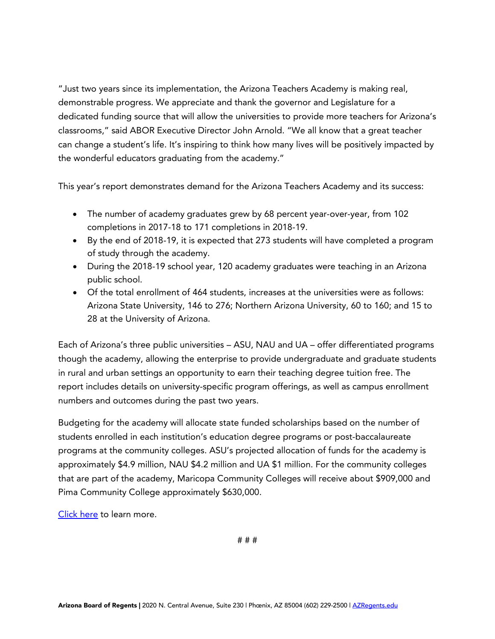"Just two years since its implementation, the Arizona Teachers Academy is making real, demonstrable progress. We appreciate and thank the governor and Legislature for a dedicated funding source that will allow the universities to provide more teachers for Arizona's classrooms," said ABOR Executive Director John Arnold. "We all know that a great teacher can change a student's life. It's inspiring to think how many lives will be positively impacted by the wonderful educators graduating from the academy."

This year's report demonstrates demand for the Arizona Teachers Academy and its success:

- The number of academy graduates grew by 68 percent year-over-year, from 102 completions in 2017-18 to 171 completions in 2018-19.
- By the end of 2018-19, it is expected that 273 students will have completed a program of study through the academy.
- During the 2018-19 school year, 120 academy graduates were teaching in an Arizona public school.
- Of the total enrollment of 464 students, increases at the universities were as follows: Arizona State University, 146 to 276; Northern Arizona University, 60 to 160; and 15 to 28 at the University of Arizona.

Each of Arizona's three public universities – ASU, NAU and UA – offer differentiated programs though the academy, allowing the enterprise to provide undergraduate and graduate students in rural and urban settings an opportunity to earn their teaching degree tuition free. The report includes details on university-specific program offerings, as well as campus enrollment numbers and outcomes during the past two years.

Budgeting for the academy will allocate state funded scholarships based on the number of students enrolled in each institution's education degree programs or post-baccalaureate programs at the community colleges. ASU's projected allocation of funds for the academy is approximately \$4.9 million, NAU \$4.2 million and UA \$1 million. For the community colleges that are part of the academy, Maricopa Community Colleges will receive about \$909,000 and Pima Community College approximately \$630,000.

[Click here](https://public.azregents.edu/News%20Clips%20Docs/ArizonaTeachersAcademy_Report.pdf) to learn more.

# # #